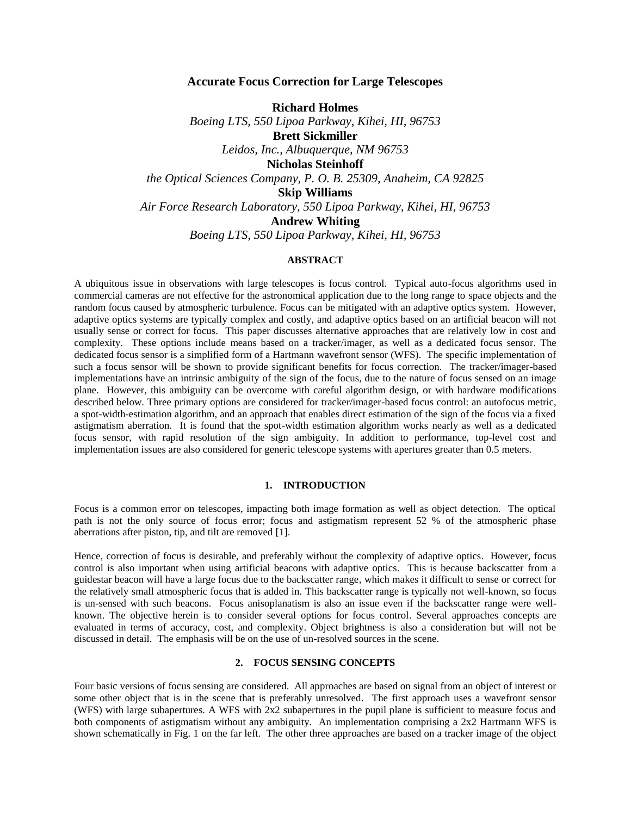# **Accurate Focus Correction for Large Telescopes**

**Richard Holmes** *Boeing LTS, 550 Lipoa Parkway, Kihei, HI, 96753* **Brett Sickmiller** *Leidos, Inc., Albuquerque, NM 96753*  **Nicholas Steinhoff** *the Optical Sciences Company, P. O. B. 25309, Anaheim, CA 92825* **Skip Williams** *Air Force Research Laboratory, 550 Lipoa Parkway, Kihei, HI, 96753* **Andrew Whiting** *Boeing LTS, 550 Lipoa Parkway, Kihei, HI, 96753*

#### **ABSTRACT**

A ubiquitous issue in observations with large telescopes is focus control. Typical auto-focus algorithms used in commercial cameras are not effective for the astronomical application due to the long range to space objects and the random focus caused by atmospheric turbulence. Focus can be mitigated with an adaptive optics system. However, adaptive optics systems are typically complex and costly, and adaptive optics based on an artificial beacon will not usually sense or correct for focus. This paper discusses alternative approaches that are relatively low in cost and complexity. These options include means based on a tracker/imager, as well as a dedicated focus sensor. The dedicated focus sensor is a simplified form of a Hartmann wavefront sensor (WFS). The specific implementation of such a focus sensor will be shown to provide significant benefits for focus correction. The tracker/imager-based implementations have an intrinsic ambiguity of the sign of the focus, due to the nature of focus sensed on an image plane. However, this ambiguity can be overcome with careful algorithm design, or with hardware modifications described below. Three primary options are considered for tracker/imager-based focus control: an autofocus metric, a spot-width-estimation algorithm, and an approach that enables direct estimation of the sign of the focus via a fixed astigmatism aberration. It is found that the spot-width estimation algorithm works nearly as well as a dedicated focus sensor, with rapid resolution of the sign ambiguity. In addition to performance, top-level cost and implementation issues are also considered for generic telescope systems with apertures greater than 0.5 meters.

### **1. INTRODUCTION**

Focus is a common error on telescopes, impacting both image formation as well as object detection. The optical path is not the only source of focus error; focus and astigmatism represent 52 % of the atmospheric phase aberrations after piston, tip, and tilt are removed [1].

Hence, correction of focus is desirable, and preferably without the complexity of adaptive optics. However, focus control is also important when using artificial beacons with adaptive optics. This is because backscatter from a guidestar beacon will have a large focus due to the backscatter range, which makes it difficult to sense or correct for the relatively small atmospheric focus that is added in. This backscatter range is typically not well-known, so focus is un-sensed with such beacons. Focus anisoplanatism is also an issue even if the backscatter range were wellknown. The objective herein is to consider several options for focus control. Several approaches concepts are evaluated in terms of accuracy, cost, and complexity. Object brightness is also a consideration but will not be discussed in detail. The emphasis will be on the use of un-resolved sources in the scene.

#### **2. FOCUS SENSING CONCEPTS**

Four basic versions of focus sensing are considered. All approaches are based on signal from an object of interest or some other object that is in the scene that is preferably unresolved. The first approach uses a wavefront sensor (WFS) with large subapertures. A WFS with 2x2 subapertures in the pupil plane is sufficient to measure focus and both components of astigmatism without any ambiguity. An implementation comprising a 2x2 Hartmann WFS is shown schematically in Fig. 1 on the far left. The other three approaches are based on a tracker image of the object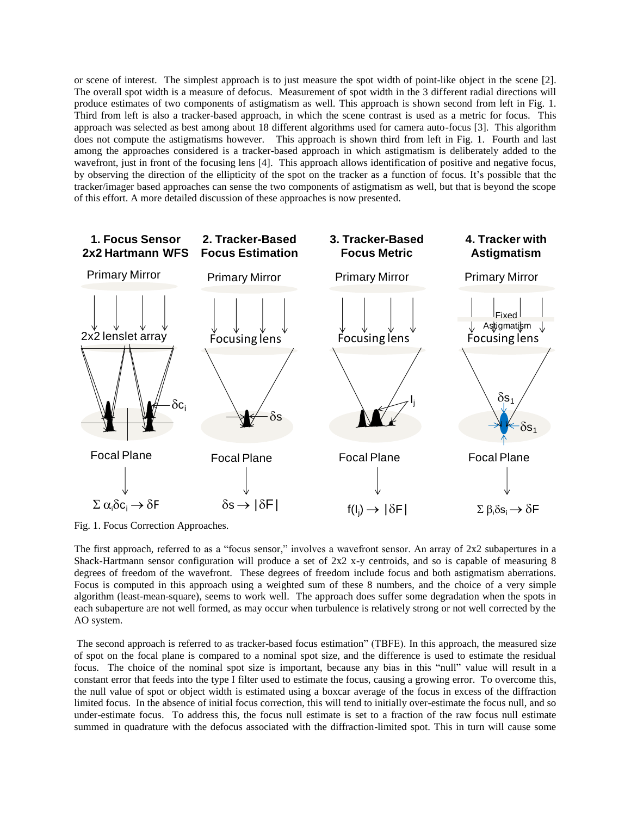or scene of interest. The simplest approach is to just measure the spot width of point-like object in the scene [2]. The overall spot width is a measure of defocus. Measurement of spot width in the 3 different radial directions will produce estimates of two components of astigmatism as well. This approach is shown second from left in Fig. 1. Third from left is also a tracker-based approach, in which the scene contrast is used as a metric for focus. This approach was selected as best among about 18 different algorithms used for camera auto-focus [3]. This algorithm does not compute the astigmatisms however. This approach is shown third from left in Fig. 1. Fourth and last among the approaches considered is a tracker-based approach in which astigmatism is deliberately added to the wavefront, just in front of the focusing lens [4]. This approach allows identification of positive and negative focus, by observing the direction of the ellipticity of the spot on the tracker as a function of focus. It's possible that the tracker/imager based approaches can sense the two components of astigmatism as well, but that is beyond the scope of this effort. A more detailed discussion of these approaches is now presented.



Fig. 1. Focus Correction Approaches.

The first approach, referred to as a "focus sensor," involves a wavefront sensor. An array of 2x2 subapertures in a Shack-Hartmann sensor configuration will produce a set of 2x2 x-y centroids, and so is capable of measuring 8 degrees of freedom of the wavefront. These degrees of freedom include focus and both astigmatism aberrations. Focus is computed in this approach using a weighted sum of these 8 numbers, and the choice of a very simple algorithm (least-mean-square), seems to work well. The approach does suffer some degradation when the spots in each subaperture are not well formed, as may occur when turbulence is relatively strong or not well corrected by the AO system.

The second approach is referred to as tracker-based focus estimation" (TBFE). In this approach, the measured size of spot on the focal plane is compared to a nominal spot size, and the difference is used to estimate the residual focus. The choice of the nominal spot size is important, because any bias in this "null" value will result in a constant error that feeds into the type I filter used to estimate the focus, causing a growing error. To overcome this, the null value of spot or object width is estimated using a boxcar average of the focus in excess of the diffraction limited focus. In the absence of initial focus correction, this will tend to initially over-estimate the focus null, and so under-estimate focus. To address this, the focus null estimate is set to a fraction of the raw focus null estimate summed in quadrature with the defocus associated with the diffraction-limited spot. This in turn will cause some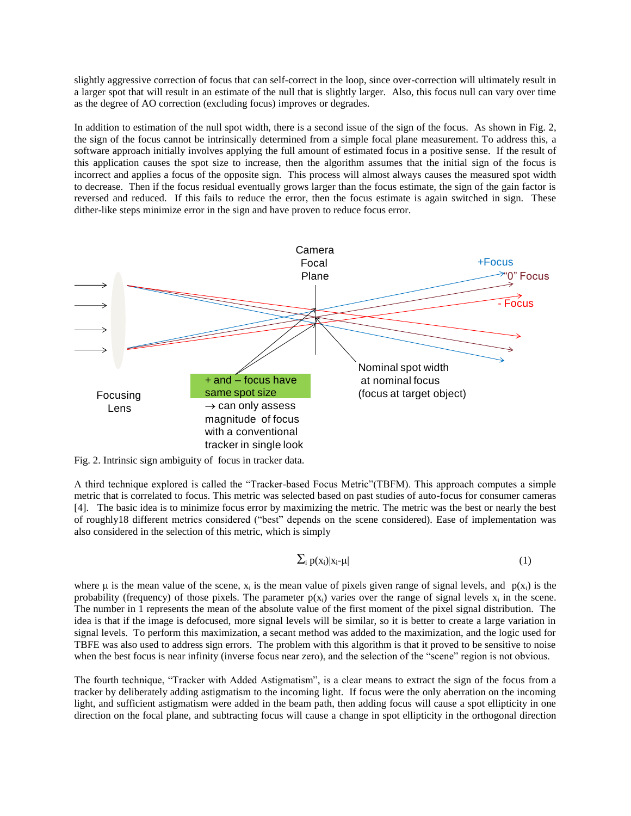slightly aggressive correction of focus that can self-correct in the loop, since over-correction will ultimately result in a larger spot that will result in an estimate of the null that is slightly larger. Also, this focus null can vary over time as the degree of AO correction (excluding focus) improves or degrades.

In addition to estimation of the null spot width, there is a second issue of the sign of the focus. As shown in Fig. 2, the sign of the focus cannot be intrinsically determined from a simple focal plane measurement. To address this, a software approach initially involves applying the full amount of estimated focus in a positive sense. If the result of this application causes the spot size to increase, then the algorithm assumes that the initial sign of the focus is incorrect and applies a focus of the opposite sign. This process will almost always causes the measured spot width to decrease. Then if the focus residual eventually grows larger than the focus estimate, the sign of the gain factor is reversed and reduced. If this fails to reduce the error, then the focus estimate is again switched in sign. These dither-like steps minimize error in the sign and have proven to reduce focus error.



Fig. 2. Intrinsic sign ambiguity of focus in tracker data.

A third technique explored is called the "Tracker-based Focus Metric"(TBFM). This approach computes a simple metric that is correlated to focus. This metric was selected based on past studies of auto-focus for consumer cameras [4]. The basic idea is to minimize focus error by maximizing the metric. The metric was the best or nearly the best of roughly18 different metrics considered ("best" depends on the scene considered). Ease of implementation was also considered in the selection of this metric, which is simply

$$
\sum_{i} p(x_i) |x_i - \mu| \tag{1}
$$

where  $\mu$  is the mean value of the scene,  $x_i$  is the mean value of pixels given range of signal levels, and  $p(x_i)$  is the probability (frequency) of those pixels. The parameter  $p(x_i)$  varies over the range of signal levels  $x_i$  in the scene. The number in 1 represents the mean of the absolute value of the first moment of the pixel signal distribution. The idea is that if the image is defocused, more signal levels will be similar, so it is better to create a large variation in signal levels. To perform this maximization, a secant method was added to the maximization, and the logic used for TBFE was also used to address sign errors. The problem with this algorithm is that it proved to be sensitive to noise when the best focus is near infinity (inverse focus near zero), and the selection of the "scene" region is not obvious.

The fourth technique, "Tracker with Added Astigmatism", is a clear means to extract the sign of the focus from a tracker by deliberately adding astigmatism to the incoming light. If focus were the only aberration on the incoming light, and sufficient astigmatism were added in the beam path, then adding focus will cause a spot ellipticity in one direction on the focal plane, and subtracting focus will cause a change in spot ellipticity in the orthogonal direction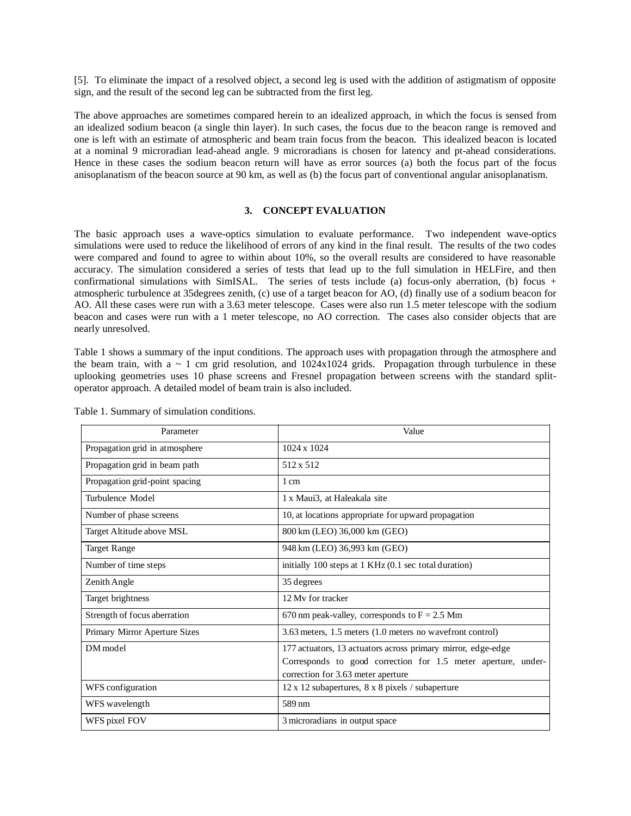[5]. To eliminate the impact of a resolved object, a second leg is used with the addition of astigmatism of opposite sign, and the result of the second leg can be subtracted from the first leg.

The above approaches are sometimes compared herein to an idealized approach, in which the focus is sensed from an idealized sodium beacon (a single thin layer). In such cases, the focus due to the beacon range is removed and one is left with an estimate of atmospheric and beam train focus from the beacon. This idealized beacon is located at a nominal 9 microradian lead-ahead angle. 9 microradians is chosen for latency and pt-ahead considerations. Hence in these cases the sodium beacon return will have as error sources (a) both the focus part of the focus anisoplanatism of the beacon source at 90 km, as well as (b) the focus part of conventional angular anisoplanatism.

# **3. CONCEPT EVALUATION**

The basic approach uses a wave-optics simulation to evaluate performance. Two independent wave-optics simulations were used to reduce the likelihood of errors of any kind in the final result. The results of the two codes were compared and found to agree to within about 10%, so the overall results are considered to have reasonable accuracy. The simulation considered a series of tests that lead up to the full simulation in HELFire, and then confirmational simulations with SimISAL. The series of tests include (a) focus-only aberration, (b) focus + atmospheric turbulence at 35degrees zenith, (c) use of a target beacon for AO, (d) finally use of a sodium beacon for AO. All these cases were run with a 3.63 meter telescope. Cases were also run 1.5 meter telescope with the sodium beacon and cases were run with a 1 meter telescope, no AO correction. The cases also consider objects that are nearly unresolved.

Table 1 shows a summary of the input conditions. The approach uses with propagation through the atmosphere and the beam train, with a  $\sim 1$  cm grid resolution, and  $1024x1024$  grids. Propagation through turbulence in these uplooking geometries uses 10 phase screens and Fresnel propagation between screens with the standard splitoperator approach. A detailed model of beam train is also included.

| Parameter                      | Value                                                                                                                                                               |
|--------------------------------|---------------------------------------------------------------------------------------------------------------------------------------------------------------------|
| Propagation grid in atmosphere | $1024 \times 1024$                                                                                                                                                  |
| Propagation grid in beam path  | 512 x 512                                                                                                                                                           |
| Propagation grid-point spacing | 1 cm                                                                                                                                                                |
| Turbulence Model               | 1 x Maui3, at Haleakala site                                                                                                                                        |
| Number of phase screens        | 10, at locations appropriate for upward propagation                                                                                                                 |
| Target Altitude above MSL      | 800 km (LEO) 36,000 km (GEO)                                                                                                                                        |
| <b>Target Range</b>            | 948 km (LEO) 36,993 km (GEO)                                                                                                                                        |
| Number of time steps           | initially 100 steps at 1 KHz (0.1 sec total duration)                                                                                                               |
| Zenith Angle                   | 35 degrees                                                                                                                                                          |
| Target brightness              | 12 My for tracker                                                                                                                                                   |
| Strength of focus aberration   | 670 nm peak-valley, corresponds to $F = 2.5$ Mm                                                                                                                     |
| Primary Mirror Aperture Sizes  | 3.63 meters, 1.5 meters (1.0 meters no wavefront control)                                                                                                           |
| DM model                       | 177 actuators, 13 actuators across primary mirror, edge-edge<br>Corresponds to good correction for 1.5 meter aperture, under-<br>correction for 3.63 meter aperture |
| WFS configuration              | 12 x 12 subapertures, 8 x 8 pixels / subaperture                                                                                                                    |
| WFS wavelength                 | 589 nm                                                                                                                                                              |
| WFS pixel FOV                  | 3 microradians in output space                                                                                                                                      |

Table 1. Summary of simulation conditions.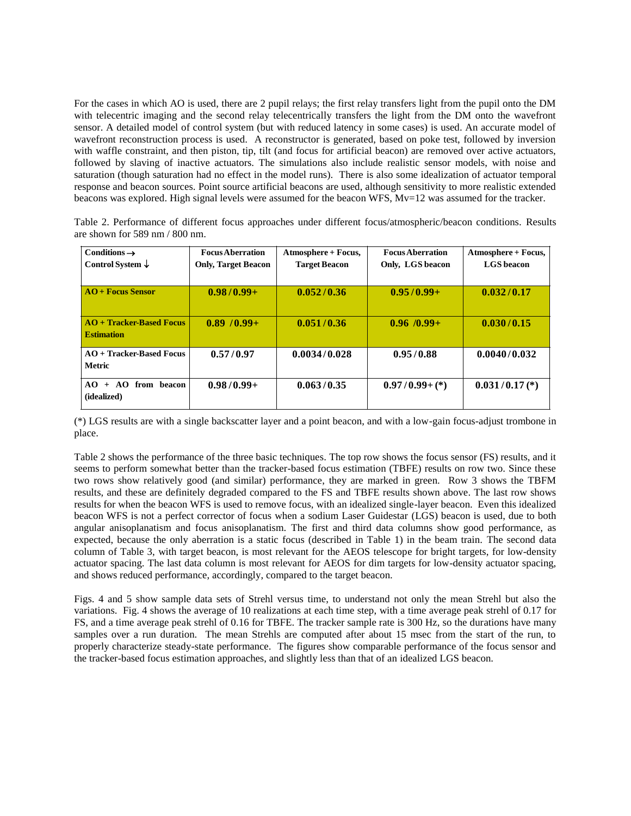For the cases in which AO is used, there are 2 pupil relays; the first relay transfers light from the pupil onto the DM with telecentric imaging and the second relay telecentrically transfers the light from the DM onto the wavefront sensor. A detailed model of control system (but with reduced latency in some cases) is used. An accurate model of wavefront reconstruction process is used. A reconstructor is generated, based on poke test, followed by inversion with waffle constraint, and then piston, tip, tilt (and focus for artificial beacon) are removed over active actuators, followed by slaving of inactive actuators. The simulations also include realistic sensor models, with noise and saturation (though saturation had no effect in the model runs). There is also some idealization of actuator temporal response and beacon sources. Point source artificial beacons are used, although sensitivity to more realistic extended beacons was explored. High signal levels were assumed for the beacon WFS, Mv=12 was assumed for the tracker.

|                                                   |  |  | Table 2. Performance of different focus approaches under different focus/atmospheric/beacon conditions. Results |  |
|---------------------------------------------------|--|--|-----------------------------------------------------------------------------------------------------------------|--|
| are shown for $589 \text{ nm} / 800 \text{ nm}$ . |  |  |                                                                                                                 |  |

| Conditions $\rightarrow$<br>Control System $\downarrow$ | <b>Focus Aberration</b><br><b>Only, Target Beacon</b> | Atmosphere + Focus,<br><b>Target Beacon</b> | <b>Focus Aberration</b><br>Only, LGS beacon | Atmosphere + Focus,<br><b>LGS</b> beacon |
|---------------------------------------------------------|-------------------------------------------------------|---------------------------------------------|---------------------------------------------|------------------------------------------|
| $AO +$ Focus Sensor                                     | $0.98/0.99+$                                          | 0.052/0.36                                  | $0.95/0.99+$                                | 0.032/0.17                               |
| $AO + Tracker-Based Focus$<br><b>Estimation</b>         | $0.89 / 0.99 +$                                       | 0.051/0.36                                  | $0.96 \, / 0.99 +$                          | 0.030/0.15                               |
| $AO + Tracker-Based Focus$<br><b>Metric</b>             | 0.57/0.97                                             | 0.0034/0.028                                | 0.95/0.88                                   | 0.0040/0.032                             |
| $AO + AO$ from beacon<br>(idealized)                    | $0.98/0.99+$                                          | 0.063/0.35                                  | $0.97/0.99+(*)$                             | $0.031/0.17$ (*)                         |

(\*) LGS results are with a single backscatter layer and a point beacon, and with a low-gain focus-adjust trombone in place.

Table 2 shows the performance of the three basic techniques. The top row shows the focus sensor (FS) results, and it seems to perform somewhat better than the tracker-based focus estimation (TBFE) results on row two. Since these two rows show relatively good (and similar) performance, they are marked in green. Row 3 shows the TBFM results, and these are definitely degraded compared to the FS and TBFE results shown above. The last row shows results for when the beacon WFS is used to remove focus, with an idealized single-layer beacon. Even this idealized beacon WFS is not a perfect corrector of focus when a sodium Laser Guidestar (LGS) beacon is used, due to both angular anisoplanatism and focus anisoplanatism. The first and third data columns show good performance, as expected, because the only aberration is a static focus (described in Table 1) in the beam train. The second data column of Table 3, with target beacon, is most relevant for the AEOS telescope for bright targets, for low-density actuator spacing. The last data column is most relevant for AEOS for dim targets for low-density actuator spacing, and shows reduced performance, accordingly, compared to the target beacon.

Figs. 4 and 5 show sample data sets of Strehl versus time, to understand not only the mean Strehl but also the variations. Fig. 4 shows the average of 10 realizations at each time step, with a time average peak strehl of 0.17 for FS, and a time average peak strehl of 0.16 for TBFE. The tracker sample rate is 300 Hz, so the durations have many samples over a run duration. The mean Strehls are computed after about 15 msec from the start of the run, to properly characterize steady-state performance. The figures show comparable performance of the focus sensor and the tracker-based focus estimation approaches, and slightly less than that of an idealized LGS beacon.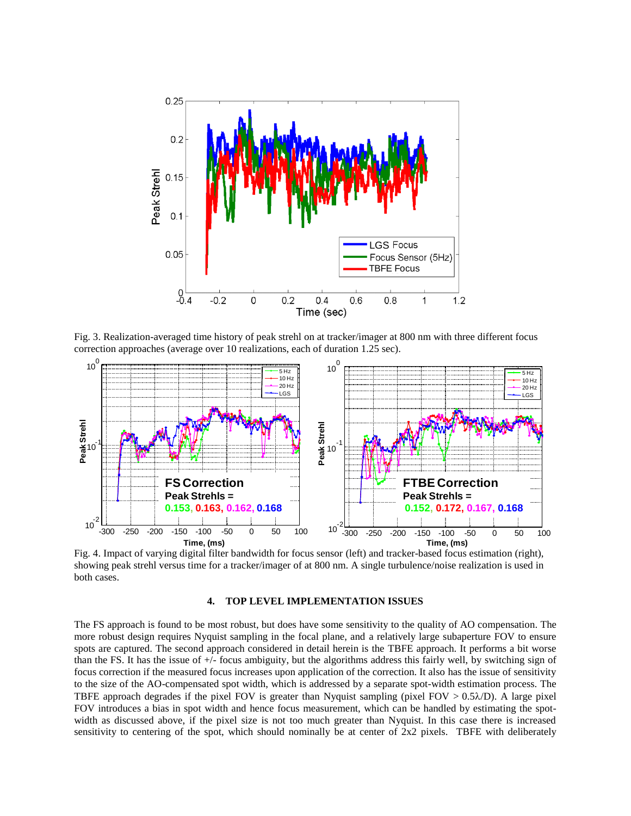

Fig. 3. Realization-averaged time history of peak strehl on at tracker/imager at 800 nm with three different focus correction approaches (average over 10 realizations, each of duration 1.25 sec).



Fig. 4. Impact of varying digital filter bandwidth for focus sensor (left) and tracker-based focus estimation (right), showing peak strehl versus time for a tracker/imager of at 800 nm. A single turbulence/noise realization is used in both cases.

### **4. TOP LEVEL IMPLEMENTATION ISSUES**

The FS approach is found to be most robust, but does have some sensitivity to the quality of AO compensation. The more robust design requires Nyquist sampling in the focal plane, and a relatively large subaperture FOV to ensure spots are captured. The second approach considered in detail herein is the TBFE approach. It performs a bit worse than the FS. It has the issue of +/- focus ambiguity, but the algorithms address this fairly well, by switching sign of focus correction if the measured focus increases upon application of the correction. It also has the issue of sensitivity to the size of the AO-compensated spot width, which is addressed by a separate spot-width estimation process. The TBFE approach degrades if the pixel FOV is greater than Nyquist sampling (pixel FOV  $> 0.5\lambda/D$ ). A large pixel FOV introduces a bias in spot width and hence focus measurement, which can be handled by estimating the spotwidth as discussed above, if the pixel size is not too much greater than Nyquist. In this case there is increased sensitivity to centering of the spot, which should nominally be at center of 2x2 pixels. TBFE with deliberately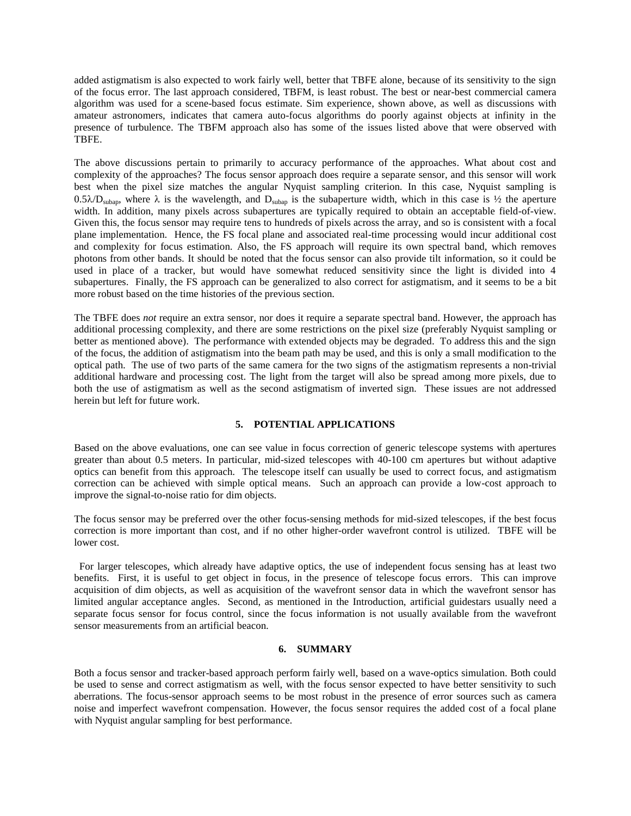added astigmatism is also expected to work fairly well, better that TBFE alone, because of its sensitivity to the sign of the focus error. The last approach considered, TBFM, is least robust. The best or near-best commercial camera algorithm was used for a scene-based focus estimate. Sim experience, shown above, as well as discussions with amateur astronomers, indicates that camera auto-focus algorithms do poorly against objects at infinity in the presence of turbulence. The TBFM approach also has some of the issues listed above that were observed with TBFE.

The above discussions pertain to primarily to accuracy performance of the approaches. What about cost and complexity of the approaches? The focus sensor approach does require a separate sensor, and this sensor will work best when the pixel size matches the angular Nyquist sampling criterion. In this case, Nyquist sampling is  $0.5\lambda/D_{\text{subap}}$ , where  $\lambda$  is the wavelength, and  $D_{\text{subap}}$  is the subaperture width, which in this case is  $\frac{1}{2}$  the aperture width. In addition, many pixels across subapertures are typically required to obtain an acceptable field-of-view. Given this, the focus sensor may require tens to hundreds of pixels across the array, and so is consistent with a focal plane implementation. Hence, the FS focal plane and associated real-time processing would incur additional cost and complexity for focus estimation. Also, the FS approach will require its own spectral band, which removes photons from other bands. It should be noted that the focus sensor can also provide tilt information, so it could be used in place of a tracker, but would have somewhat reduced sensitivity since the light is divided into 4 subapertures. Finally, the FS approach can be generalized to also correct for astigmatism, and it seems to be a bit more robust based on the time histories of the previous section.

The TBFE does *not* require an extra sensor, nor does it require a separate spectral band. However, the approach has additional processing complexity, and there are some restrictions on the pixel size (preferably Nyquist sampling or better as mentioned above). The performance with extended objects may be degraded. To address this and the sign of the focus, the addition of astigmatism into the beam path may be used, and this is only a small modification to the optical path. The use of two parts of the same camera for the two signs of the astigmatism represents a non-trivial additional hardware and processing cost. The light from the target will also be spread among more pixels, due to both the use of astigmatism as well as the second astigmatism of inverted sign. These issues are not addressed herein but left for future work.

# **5. POTENTIAL APPLICATIONS**

Based on the above evaluations, one can see value in focus correction of generic telescope systems with apertures greater than about 0.5 meters. In particular, mid-sized telescopes with 40-100 cm apertures but without adaptive optics can benefit from this approach. The telescope itself can usually be used to correct focus, and astigmatism correction can be achieved with simple optical means. Such an approach can provide a low-cost approach to improve the signal-to-noise ratio for dim objects.

The focus sensor may be preferred over the other focus-sensing methods for mid-sized telescopes, if the best focus correction is more important than cost, and if no other higher-order wavefront control is utilized. TBFE will be lower cost.

 For larger telescopes, which already have adaptive optics, the use of independent focus sensing has at least two benefits. First, it is useful to get object in focus, in the presence of telescope focus errors. This can improve acquisition of dim objects, as well as acquisition of the wavefront sensor data in which the wavefront sensor has limited angular acceptance angles. Second, as mentioned in the Introduction, artificial guidestars usually need a separate focus sensor for focus control, since the focus information is not usually available from the wavefront sensor measurements from an artificial beacon.

#### **6. SUMMARY**

Both a focus sensor and tracker-based approach perform fairly well, based on a wave-optics simulation. Both could be used to sense and correct astigmatism as well, with the focus sensor expected to have better sensitivity to such aberrations. The focus-sensor approach seems to be most robust in the presence of error sources such as camera noise and imperfect wavefront compensation. However, the focus sensor requires the added cost of a focal plane with Nyquist angular sampling for best performance.